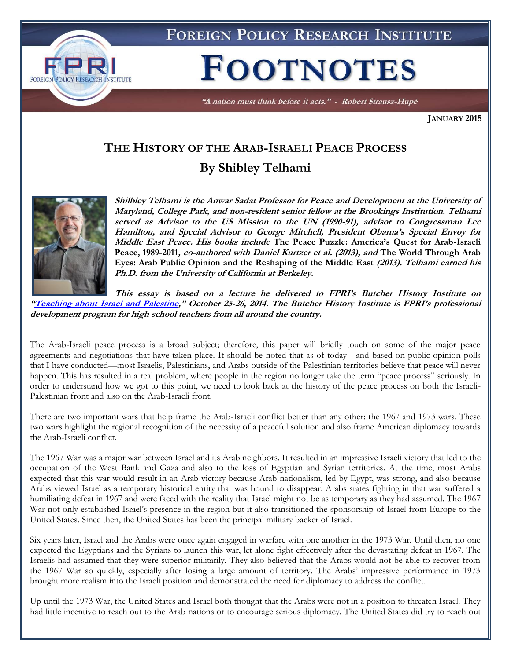

"A nation must think before it acts." - Robert Strausz-Hupé

**JANUARY 2015**

## **THE HISTORY OF THE ARAB-ISRAELI PEACE PROCESS By Shibley Telhami**



**Shilbley Telhami is the Anwar Sadat Professor for Peace and Development at the University of Maryland, College Park, and non-resident senior fellow at the Brookings Institution. Telhami served as Advisor to the US Mission to the UN (1990-91), advisor to Congressman Lee Hamilton, and Special Advisor to George Mitchell, President Obama's Special Envoy for Middle East Peace. His books include The Peace Puzzle: America's Quest for Arab-Israeli Peace, 1989-2011, co-authored with Daniel Kurtzer et al. (2013), and The World Through Arab Eyes: Arab Public Opinion and the Reshaping of the Middle East (2013). Telhami earned his Ph.D. from the University of California at Berkeley.**

**This essay is based on a lecture he delivered to FPRI's Butcher History Institute on "[Teaching about Israel and Palestine](http://www.fpri.org/events/2014/10/teaching-about-israel-and-palestine)," October 25-26, 2014. The Butcher History Institute is FPRI's professional development program for high school teachers from all around the country.**

The Arab-Israeli peace process is a broad subject; therefore, this paper will briefly touch on some of the major peace agreements and negotiations that have taken place. It should be noted that as of today—and based on public opinion polls that I have conducted—most Israelis, Palestinians, and Arabs outside of the Palestinian territories believe that peace will never happen. This has resulted in a real problem, where people in the region no longer take the term "peace process" seriously. In order to understand how we got to this point, we need to look back at the history of the peace process on both the Israeli-Palestinian front and also on the Arab-Israeli front.

There are two important wars that help frame the Arab-Israeli conflict better than any other: the 1967 and 1973 wars. These two wars highlight the regional recognition of the necessity of a peaceful solution and also frame American diplomacy towards the Arab-Israeli conflict.

The 1967 War was a major war between Israel and its Arab neighbors. It resulted in an impressive Israeli victory that led to the occupation of the West Bank and Gaza and also to the loss of Egyptian and Syrian territories. At the time, most Arabs expected that this war would result in an Arab victory because Arab nationalism, led by Egypt, was strong, and also because Arabs viewed Israel as a temporary historical entity that was bound to disappear. Arabs states fighting in that war suffered a humiliating defeat in 1967 and were faced with the reality that Israel might not be as temporary as they had assumed. The 1967 War not only established Israel's presence in the region but it also transitioned the sponsorship of Israel from Europe to the United States. Since then, the United States has been the principal military backer of Israel.

Six years later, Israel and the Arabs were once again engaged in warfare with one another in the 1973 War. Until then, no one expected the Egyptians and the Syrians to launch this war, let alone fight effectively after the devastating defeat in 1967. The Israelis had assumed that they were superior militarily. They also believed that the Arabs would not be able to recover from the 1967 War so quickly, especially after losing a large amount of territory. The Arabs' impressive performance in 1973 brought more realism into the Israeli position and demonstrated the need for diplomacy to address the conflict.

Up until the 1973 War, the United States and Israel both thought that the Arabs were not in a position to threaten Israel. They had little incentive to reach out to the Arab nations or to encourage serious diplomacy. The United States did try to reach out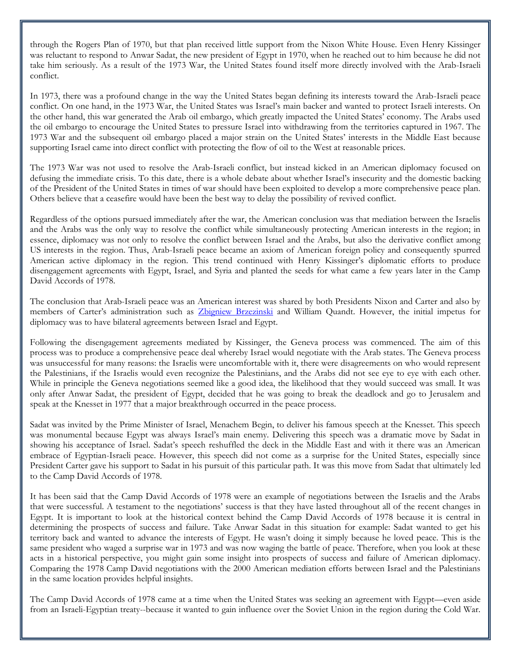through the Rogers Plan of 1970, but that plan received little support from the Nixon White House. Even Henry Kissinger was reluctant to respond to Anwar Sadat, the new president of Egypt in 1970, when he reached out to him because he did not take him seriously. As a result of the 1973 War, the United States found itself more directly involved with the Arab-Israeli conflict.

In 1973, there was a profound change in the way the United States began defining its interests toward the Arab-Israeli peace conflict. On one hand, in the 1973 War, the United States was Israel's main backer and wanted to protect Israeli interests. On the other hand, this war generated the Arab oil embargo, which greatly impacted the United States' economy. The Arabs used the oil embargo to encourage the United States to pressure Israel into withdrawing from the territories captured in 1967. The 1973 War and the subsequent oil embargo placed a major strain on the United States' interests in the Middle East because supporting Israel came into direct conflict with protecting the flow of oil to the West at reasonable prices.

The 1973 War was not used to resolve the Arab-Israeli conflict, but instead kicked in an American diplomacy focused on defusing the immediate crisis. To this date, there is a whole debate about whether Israel's insecurity and the domestic backing of the President of the United States in times of war should have been exploited to develop a more comprehensive peace plan. Others believe that a ceasefire would have been the best way to delay the possibility of revived conflict.

Regardless of the options pursued immediately after the war, the American conclusion was that mediation between the Israelis and the Arabs was the only way to resolve the conflict while simultaneously protecting American interests in the region; in essence, diplomacy was not only to resolve the conflict between Israel and the Arabs, but also the derivative conflict among US interests in the region. Thus, Arab-Israeli peace became an axiom of American foreign policy and consequently spurred American active diplomacy in the region. This trend continued with Henry Kissinger's diplomatic efforts to produce disengagement agreements with Egypt, Israel, and Syria and planted the seeds for what came a few years later in the Camp David Accords of 1978.

The conclusion that Arab-Israeli peace was an American interest was shared by both Presidents Nixon and Carter and also by members of Carter's administration such as [Zbigniew Brzezinski](https://www.google.com/url?sa=t&rct=j&q=&esrc=s&source=web&cd=1&cad=rja&uact=8&ved=0CCEQFjAA&url=http%3A%2F%2Fen.wikipedia.org%2Fwiki%2FZbigniew_Brzezinski&ei=7ypqVLCBAdffsATn9oG4Bw&usg=AFQjCNGHpOyQp-mkldiOzSH6rdMP4lFM0g&sig2=l4nnKAalsugZ9C-V-lQmyQ&bvm=bv.79142246,d.cWc) and William Quandt. However, the initial impetus for diplomacy was to have bilateral agreements between Israel and Egypt.

Following the disengagement agreements mediated by Kissinger, the Geneva process was commenced. The aim of this process was to produce a comprehensive peace deal whereby Israel would negotiate with the Arab states. The Geneva process was unsuccessful for many reasons: the Israelis were uncomfortable with it, there were disagreements on who would represent the Palestinians, if the Israelis would even recognize the Palestinians, and the Arabs did not see eye to eye with each other. While in principle the Geneva negotiations seemed like a good idea, the likelihood that they would succeed was small. It was only after Anwar Sadat, the president of Egypt, decided that he was going to break the deadlock and go to Jerusalem and speak at the Knesset in 1977 that a major breakthrough occurred in the peace process.

Sadat was invited by the Prime Minister of Israel, Menachem Begin, to deliver his famous speech at the Knesset. This speech was monumental because Egypt was always Israel's main enemy. Delivering this speech was a dramatic move by Sadat in showing his acceptance of Israel. Sadat's speech reshuffled the deck in the Middle East and with it there was an American embrace of Egyptian-Israeli peace. However, this speech did not come as a surprise for the United States, especially since President Carter gave his support to Sadat in his pursuit of this particular path. It was this move from Sadat that ultimately led to the Camp David Accords of 1978.

It has been said that the Camp David Accords of 1978 were an example of negotiations between the Israelis and the Arabs that were successful. A testament to the negotiations' success is that they have lasted throughout all of the recent changes in Egypt. It is important to look at the historical context behind the Camp David Accords of 1978 because it is central in determining the prospects of success and failure. Take Anwar Sadat in this situation for example: Sadat wanted to get his territory back and wanted to advance the interests of Egypt. He wasn't doing it simply because he loved peace. This is the same president who waged a surprise war in 1973 and was now waging the battle of peace. Therefore, when you look at these acts in a historical perspective, you might gain some insight into prospects of success and failure of American diplomacy. Comparing the 1978 Camp David negotiations with the 2000 American mediation efforts between Israel and the Palestinians in the same location provides helpful insights.

The Camp David Accords of 1978 came at a time when the United States was seeking an agreement with Egypt—even aside from an Israeli-Egyptian treaty--because it wanted to gain influence over the Soviet Union in the region during the Cold War.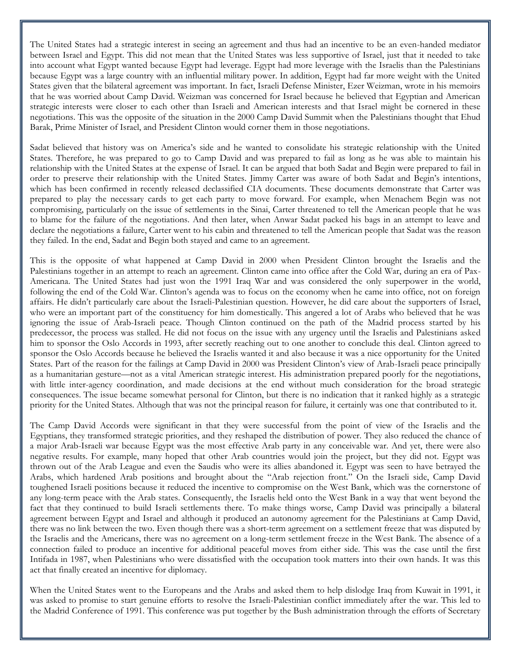The United States had a strategic interest in seeing an agreement and thus had an incentive to be an even-handed mediator between Israel and Egypt. This did not mean that the United States was less supportive of Israel, just that it needed to take into account what Egypt wanted because Egypt had leverage. Egypt had more leverage with the Israelis than the Palestinians because Egypt was a large country with an influential military power. In addition, Egypt had far more weight with the United States given that the bilateral agreement was important. In fact, Israeli Defense Minister, Ezer Weizman, wrote in his memoirs that he was worried about Camp David. Weizman was concerned for Israel because he believed that Egyptian and American strategic interests were closer to each other than Israeli and American interests and that Israel might be cornered in these negotiations. This was the opposite of the situation in the 2000 Camp David Summit when the Palestinians thought that Ehud Barak, Prime Minister of Israel, and President Clinton would corner them in those negotiations.

Sadat believed that history was on America's side and he wanted to consolidate his strategic relationship with the United States. Therefore, he was prepared to go to Camp David and was prepared to fail as long as he was able to maintain his relationship with the United States at the expense of Israel. It can be argued that both Sadat and Begin were prepared to fail in order to preserve their relationship with the United States. Jimmy Carter was aware of both Sadat and Begin's intentions, which has been confirmed in recently released declassified CIA documents. These documents demonstrate that Carter was prepared to play the necessary cards to get each party to move forward. For example, when Menachem Begin was not compromising, particularly on the issue of settlements in the Sinai, Carter threatened to tell the American people that he was to blame for the failure of the negotiations. And then later, when Anwar Sadat packed his bags in an attempt to leave and declare the negotiations a failure, Carter went to his cabin and threatened to tell the American people that Sadat was the reason they failed. In the end, Sadat and Begin both stayed and came to an agreement.

This is the opposite of what happened at Camp David in 2000 when President Clinton brought the Israelis and the Palestinians together in an attempt to reach an agreement. Clinton came into office after the Cold War, during an era of Pax-Americana. The United States had just won the 1991 Iraq War and was considered the only superpower in the world, following the end of the Cold War. Clinton's agenda was to focus on the economy when he came into office, not on foreign affairs. He didn't particularly care about the Israeli-Palestinian question. However, he did care about the supporters of Israel, who were an important part of the constituency for him domestically. This angered a lot of Arabs who believed that he was ignoring the issue of Arab-Israeli peace. Though Clinton continued on the path of the Madrid process started by his predecessor, the process was stalled. He did not focus on the issue with any urgency until the Israelis and Palestinians asked him to sponsor the Oslo Accords in 1993, after secretly reaching out to one another to conclude this deal. Clinton agreed to sponsor the Oslo Accords because he believed the Israelis wanted it and also because it was a nice opportunity for the United States. Part of the reason for the failings at Camp David in 2000 was President Clinton's view of Arab-Israeli peace principally as a humanitarian gesture—not as a vital American strategic interest. His administration prepared poorly for the negotiations, with little inter-agency coordination, and made decisions at the end without much consideration for the broad strategic consequences. The issue became somewhat personal for Clinton, but there is no indication that it ranked highly as a strategic priority for the United States. Although that was not the principal reason for failure, it certainly was one that contributed to it.

The Camp David Accords were significant in that they were successful from the point of view of the Israelis and the Egyptians, they transformed strategic priorities, and they reshaped the distribution of power. They also reduced the chance of a major Arab-Israeli war because Egypt was the most effective Arab party in any conceivable war. And yet, there were also negative results. For example, many hoped that other Arab countries would join the project, but they did not. Egypt was thrown out of the Arab League and even the Saudis who were its allies abandoned it. Egypt was seen to have betrayed the Arabs, which hardened Arab positions and brought about the "Arab rejection front." On the Israeli side, Camp David toughened Israeli positions because it reduced the incentive to compromise on the West Bank, which was the cornerstone of any long-term peace with the Arab states. Consequently, the Israelis held onto the West Bank in a way that went beyond the fact that they continued to build Israeli settlements there. To make things worse, Camp David was principally a bilateral agreement between Egypt and Israel and although it produced an autonomy agreement for the Palestinians at Camp David, there was no link between the two. Even though there was a short-term agreement on a settlement freeze that was disputed by the Israelis and the Americans, there was no agreement on a long-term settlement freeze in the West Bank. The absence of a connection failed to produce an incentive for additional peaceful moves from either side. This was the case until the first Intifada in 1987, when Palestinians who were dissatisfied with the occupation took matters into their own hands. It was this act that finally created an incentive for diplomacy.

When the United States went to the Europeans and the Arabs and asked them to help dislodge Iraq from Kuwait in 1991, it was asked to promise to start genuine efforts to resolve the Israeli-Palestinian conflict immediately after the war. This led to the Madrid Conference of 1991. This conference was put together by the Bush administration through the efforts of Secretary